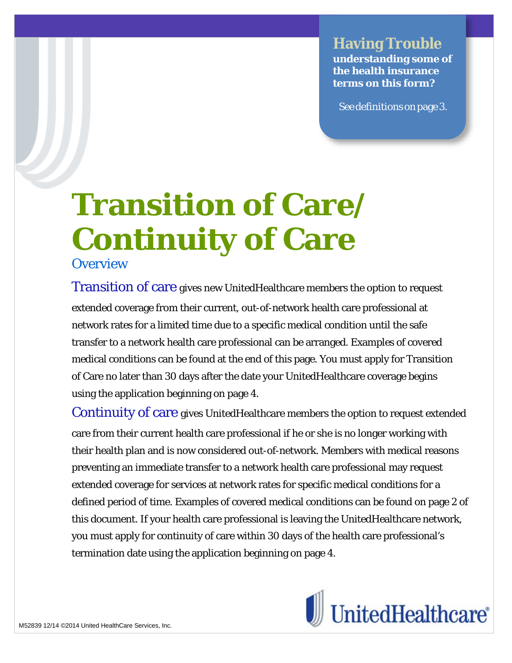## **Having Trouble**

**understanding some of the health insurance terms on this form?**

Seedefinitionsonpage3.

# **Transition of Care/ Continuity of Care**

**Overview** 

Transition of care gives new UnitedHealthcare members the option to request extended coverage from their current, out-of-network health care professional at network rates for a limited time due to a specific medical condition until the safe transfer to a network health care professional can be arranged. Examples of covered medical conditions can be found at the end of this page. You must apply for Transition of Care no later than 30 days after the date your UnitedHealthcare coverage begins using the application beginning on page 4.

Continuity of care gives UnitedHealthcare members the option to request extended care from their current health care professional if he or she is no longer working with their health plan and is now considered out-of-network. Members with medical reasons preventing an immediate transfer to a network health care professional may request extended coverage for services at network rates for specific medical conditions for a defined period of time. Examples of covered medical conditions can be found on page 2 of this document. If your health care professional is leaving the UnitedHealthcare network, you must apply for continuity of care within 30 days of the health care professional's termination date using the application beginning on page 4.

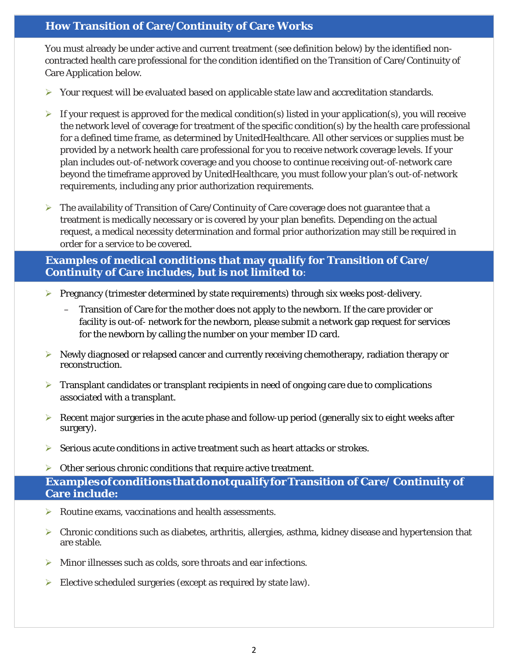#### **How Transition of Care/Continuity of Care Works**

You must already be under active and current treatment (see definition below) by the identified noncontracted health care professional for the condition identified on the Transition of Care/Continuity of Care Application below.

- $\triangleright$  Your request will be evaluated based on applicable state law and accreditation standards.
- $\triangleright$  If your request is approved for the medical condition(s) listed in your application(s), you will receive the network level of coverage for treatment of the specific condition(s) by the health care professional for a defined time frame, as determined by UnitedHealthcare. All other services or supplies must be provided by a network health care professional for you to receive network coverage levels. If your plan includes out-of-network coverage and you choose to continue receiving out-of-network care beyond the timeframe approved by UnitedHealthcare, you must follow your plan's out-of-network requirements, including any prior authorization requirements.
- $\triangleright$  The availability of Transition of Care/Continuity of Care coverage does not guarantee that a treatment is medically necessary or is covered by your plan benefits. Depending on the actual request, a medical necessity determination and formal prior authorization may still be required in order for a service to be covered.

**Examples of medical conditions that may qualify for Transition of Care/ Continuity of Care includes, but is not limited to**:

- **Pregnancy (trimester determined by state requirements) through six weeks post-delivery.** 
	- Transition of Care for the mother does not apply to the newborn. If the care provider or facility is out-of- network for the newborn, please submit a network gap request for services for the newborn by calling the number on your member ID card.
- $\triangleright$  Newly diagnosed or relapsed cancer and currently receiving chemotherapy, radiation therapy or reconstruction.
- $\triangleright$  Transplant candidates or transplant recipients in need of ongoing care due to complications associated with a transplant.
- $\triangleright$  Recent major surgeries in the acute phase and follow-up period (generally six to eight weeks after surgery).
- $\triangleright$  Serious acute conditions in active treatment such as heart attacks or strokes.
- $\triangleright$  Other serious chronic conditions that require active treatment.

**ExamplesofconditionsthatdonotqualifyforTransition of Care/ Continuity of Care include:**

- Routine exams, vaccinations and health assessments.
- $\triangleright$  Chronic conditions such as diabetes, arthritis, allergies, asthma, kidney disease and hypertension that are stable.
- $\triangleright$  Minor illnesses such as colds, sore throats and ear infections.
- $\triangleright$  Elective scheduled surgeries (except as required by state law).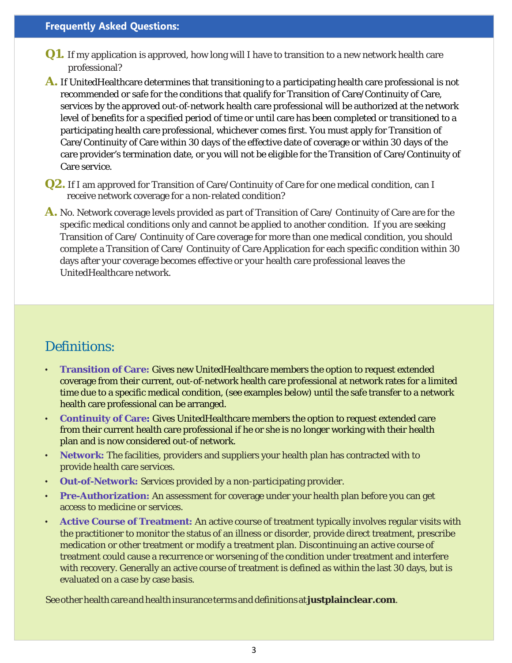#### **Frequently Asked Questions:**

- **Q1.** If my application is approved, how long will I have to transition to a new network health care professional?
- **A.** If UnitedHealthcare determines that transitioning to a participating health care professional is not recommended or safe for the conditions that qualify for Transition of Care/Continuity of Care, services by the approved out-of-network health care professional will be authorized at the network level of benefits for a specified period of time or until care has been completed or transitioned to a participating health care professional, whichever comes first. You must apply for Transition of Care/Continuity of Care within 30 days of the effective date of coverage or within 30 days of the care provider's termination date, or you will not be eligible for the Transition of Care/Continuity of Care service.
- **Q2.** If I am approved for Transition of Care/Continuity of Care for one medical condition, can I receive network coverage for a non-related condition?
- **A.** No. Network coverage levels provided as part of Transition of Care/ Continuity of Care are for the specific medical conditions only and cannot be applied to another condition. If you are seeking Transition of Care/ Continuity of Care coverage for more than one medical condition, you should complete a Transition of Care/ Continuity of Care Application for each specific condition within 30 days after your coverage becomes effective or your health care professional leaves the UnitedHealthcare network.

### Definitions:

- **Transition of Care:** Gives new UnitedHealthcare members the option to request extended coverage from their current, out-of-network health care professional at network rates for a limited time due to a specific medical condition, (see examples below) until the safe transfer to a network health care professional can be arranged.
- **Continuity of Care:** Gives UnitedHealthcare members the option to request extended care from their current health care professional if he or she is no longer working with their health plan and is now considered out-of network.
- **Network:** The facilities, providers and suppliers your health plan has contracted with to provide health care services.
- **Out-of-Network:** Services provided by a non-participating provider.
- **Pre-Authorization:** An assessment for coverage under your health plan before you can get access to medicine or services.
- **Active Course of Treatment:** An active course of treatment typically involves regular visits with the practitioner to monitor the status of an illness or disorder, provide direct treatment, prescribe medication or other treatment or modify a treatment plan. Discontinuing an active course of treatment could cause a recurrence or worsening of the condition under treatment and interfere with recovery. Generally an active course of treatment is defined as within the last 30 days, but is evaluated on a case by case basis.

See other health care and health insurance terms and definitions at **justplainclear.com**.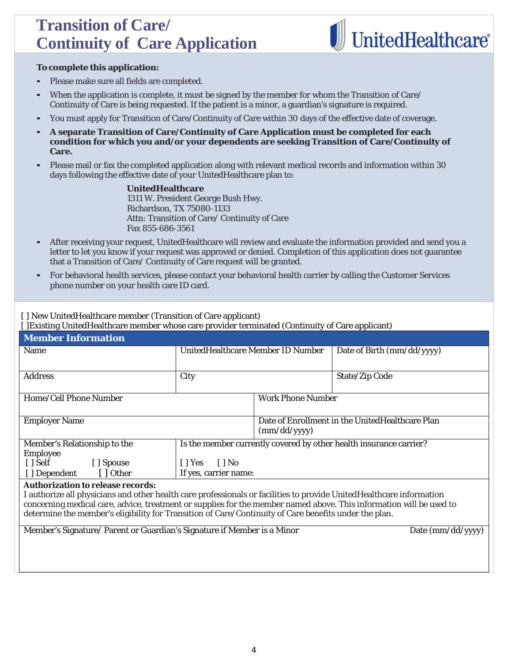# **Transition of Care/ Continuity of Care Application**



#### **To complete this application:**

- Please make sure all fields are completed.
- When the application is complete, it must be signed by the member for whom the Transition of Care/ Continuity of Care is being requested. If the patient is a minor, a guardian's signature is required.
- You must apply for Transition of Care/Continuity of Care within 30 days of the effective date of coverage.
- **A separate Transition of Care/Continuity of Care Application must be completed for each condition for which you and/or your dependents are seeking Transition of Care/Continuity of Care.**
- Please mail or fax the completed application along with relevant medical records and information within 30 days following the effective date of your UnitedHealthcare plan to:

**UnitedHealthcare** 1311 W. President George Bush Hwy. Richardson, TX 75080-1133 Attn: Transition of Care/ Continuity of Care Fax 855-686-3561

- After receiving your request, UnitedHealthcare will review and evaluate the information provided and send you a letter to let you know if your request was approved or denied. Completion of this application does not guarantee that a Transition of Care/ Continuity of Care request will be granted.
- For behavioral health services, please contact your behavioral health carrier by calling the Customer Services phone number on your health care ID card.

[ ] New UnitedHealthcare member (Transition of Care applicant)

[ ]Existing UnitedHealthcare member whose care provider terminated (Continuity of Care applicant)

| <b>Member Information</b>                                                                                            |                                                                    |                                                 |                            |                     |  |
|----------------------------------------------------------------------------------------------------------------------|--------------------------------------------------------------------|-------------------------------------------------|----------------------------|---------------------|--|
| Name                                                                                                                 | UnitedHealthcare Member ID Number                                  |                                                 | Date of Birth (mm/dd/yyyy) |                     |  |
|                                                                                                                      |                                                                    |                                                 |                            |                     |  |
| <b>Address</b>                                                                                                       | City                                                               |                                                 | <b>State/Zip Code</b>      |                     |  |
| Home/Cell Phone Number                                                                                               |                                                                    | <b>Work Phone Number</b>                        |                            |                     |  |
|                                                                                                                      |                                                                    |                                                 |                            |                     |  |
| <b>Employer Name</b>                                                                                                 |                                                                    | Date of Enrollment in the UnitedHealthcare Plan |                            |                     |  |
|                                                                                                                      |                                                                    | (mm/dd/yyyy)                                    |                            |                     |  |
| Member's Relationship to the                                                                                         | Is the member currently covered by other health insurance carrier? |                                                 |                            |                     |  |
| Employee                                                                                                             |                                                                    |                                                 |                            |                     |  |
| $\lceil$ Self<br>[ Spouse]                                                                                           | $\lceil \cdot \rceil$ No<br>$\lceil$   Yes                         |                                                 |                            |                     |  |
| [ ] Other<br>[ ] Dependent                                                                                           | If yes, carrier name:                                              |                                                 |                            |                     |  |
| <b>Authorization to release records:</b>                                                                             |                                                                    |                                                 |                            |                     |  |
| I authorize all physicians and other health care professionals or facilities to provide UnitedHealthcare information |                                                                    |                                                 |                            |                     |  |
| concerning medical care, advice, treatment or supplies for the member named above. This information will be used to  |                                                                    |                                                 |                            |                     |  |
| determine the member's eligibility for Transition of Care/Continuity of Care benefits under the plan.                |                                                                    |                                                 |                            |                     |  |
| Member's Signature/ Parent or Guardian's Signature if Member is a Minor                                              |                                                                    |                                                 |                            | Date $(mm/dd/yyyy)$ |  |